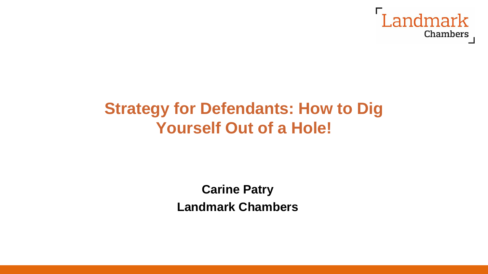

# **Strategy for Defendants: How to Dig Yourself Out of a Hole!**

**Carine Patry Landmark Chambers**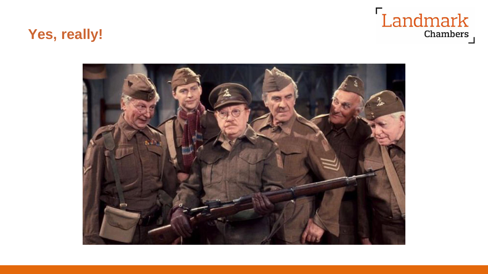## **Yes, really!**



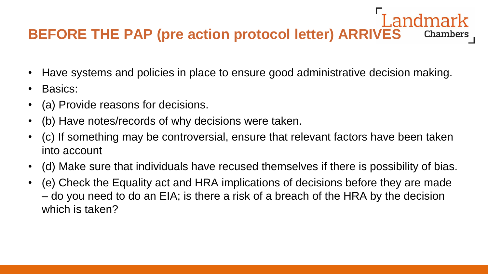#### **BEFORE THE PAP (pre action protocol letter) ARRIVES Chambers**

- Have systems and policies in place to ensure good administrative decision making.
- Basics:
- (a) Provide reasons for decisions.
- (b) Have notes/records of why decisions were taken.
- (c) If something may be controversial, ensure that relevant factors have been taken into account
- (d) Make sure that individuals have recused themselves if there is possibility of bias.
- (e) Check the Equality act and HRA implications of decisions before they are made – do you need to do an EIA; is there a risk of a breach of the HRA by the decision which is taken?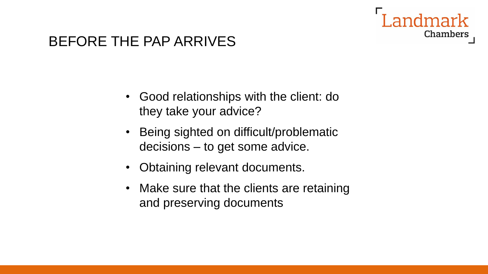# Chambers

## BEFORE THE PAP ARRIVES

- Good relationships with the client: do they take your advice?
- Being sighted on difficult/problematic decisions – to get some advice.
- Obtaining relevant documents.
- Make sure that the clients are retaining and preserving documents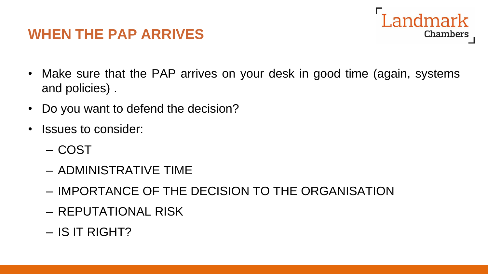## **WHEN THE PAP ARRIVES**

• Make sure that the PAP arrives on your desk in good time (again, systems and policies) .

andmark

- Do you want to defend the decision?
- Issues to consider:
	- COST
	- ADMINISTRATIVE TIME
	- IMPORTANCE OF THE DECISION TO THE ORGANISATION
	- REPUTATIONAL RISK
	- IS IT RIGHT?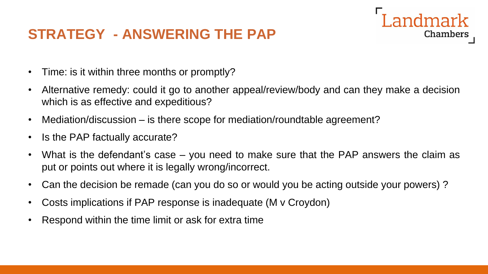## **STRATEGY - ANSWERING THE PAP**

- Time: is it within three months or promptly?
- Alternative remedy: could it go to another appeal/review/body and can they make a decision which is as effective and expeditious?

- Mediation/discussion is there scope for mediation/roundtable agreement?
- Is the PAP factually accurate?
- What is the defendant's case you need to make sure that the PAP answers the claim as put or points out where it is legally wrong/incorrect.
- Can the decision be remade (can you do so or would you be acting outside your powers) ?
- Costs implications if PAP response is inadequate (M v Croydon)
- Respond within the time limit or ask for extra time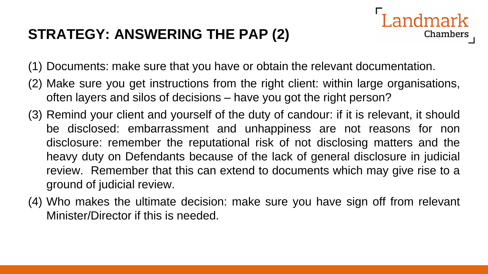## **STRATEGY: ANSWERING THE PAP (2)**

Chambers

(1) Documents: make sure that you have or obtain the relevant documentation.

- (2) Make sure you get instructions from the right client: within large organisations, often layers and silos of decisions – have you got the right person?
- (3) Remind your client and yourself of the duty of candour: if it is relevant, it should be disclosed: embarrassment and unhappiness are not reasons for non disclosure: remember the reputational risk of not disclosing matters and the heavy duty on Defendants because of the lack of general disclosure in judicial review. Remember that this can extend to documents which may give rise to a ground of judicial review.
- (4) Who makes the ultimate decision: make sure you have sign off from relevant Minister/Director if this is needed.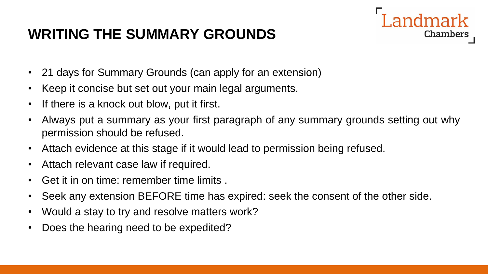## **WRITING THE SUMMARY GROUNDS**

- 21 days for Summary Grounds (can apply for an extension)
- Keep it concise but set out your main legal arguments.
- If there is a knock out blow, put it first.
- Always put a summary as your first paragraph of any summary grounds setting out why permission should be refused.

- Attach evidence at this stage if it would lead to permission being refused.
- Attach relevant case law if required.
- Get it in on time: remember time limits .
- Seek any extension BEFORE time has expired: seek the consent of the other side.
- Would a stay to try and resolve matters work?
- Does the hearing need to be expedited?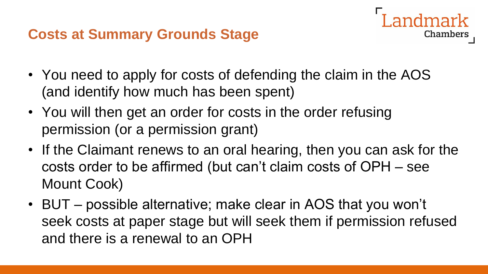### **Costs at Summary Grounds Stage**

• You need to apply for costs of defending the claim in the AOS (and identify how much has been spent)

- You will then get an order for costs in the order refusing permission (or a permission grant)
- If the Claimant renews to an oral hearing, then you can ask for the costs order to be affirmed (but can't claim costs of OPH – see Mount Cook)
- BUT possible alternative; make clear in AOS that you won't seek costs at paper stage but will seek them if permission refused and there is a renewal to an OPH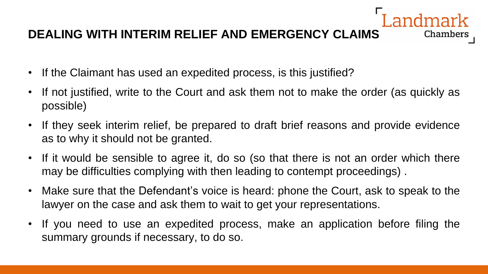#### **DEALING WITH INTERIM RELIEF AND EMERGENCY CLAIMS**

- If the Claimant has used an expedited process, is this justified?
- If not justified, write to the Court and ask them not to make the order (as quickly as possible)

- If they seek interim relief, be prepared to draft brief reasons and provide evidence as to why it should not be granted.
- If it would be sensible to agree it, do so (so that there is not an order which there may be difficulties complying with then leading to contempt proceedings) .
- Make sure that the Defendant's voice is heard: phone the Court, ask to speak to the lawyer on the case and ask them to wait to get your representations.
- If you need to use an expedited process, make an application before filing the summary grounds if necessary, to do so.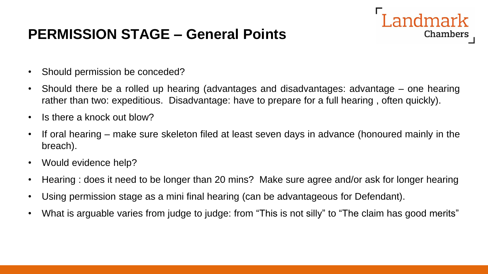## **PERMISSION STAGE – General Points**

- Should permission be conceded?
- Should there be a rolled up hearing (advantages and disadvantages: advantage one hearing rather than two: expeditious. Disadvantage: have to prepare for a full hearing , often quickly).

ndmark

- Is there a knock out blow?
- If oral hearing make sure skeleton filed at least seven days in advance (honoured mainly in the breach).
- Would evidence help?
- Hearing : does it need to be longer than 20 mins? Make sure agree and/or ask for longer hearing
- Using permission stage as a mini final hearing (can be advantageous for Defendant).
- What is arguable varies from judge to judge: from "This is not silly" to "The claim has good merits"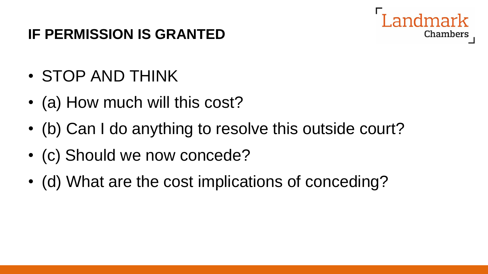## **IF PERMISSION IS GRANTED**



# • STOP AND THINK

- (a) How much will this cost?
- (b) Can I do anything to resolve this outside court?
- (c) Should we now concede?
- (d) What are the cost implications of conceding?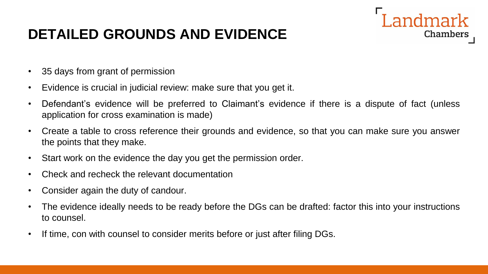## **DETAILED GROUNDS AND EVIDENCE**

- 35 days from grant of permission
- Evidence is crucial in judicial review: make sure that you get it.
- Defendant's evidence will be preferred to Claimant's evidence if there is a dispute of fact (unless application for cross examination is made)

ndmark

- Create a table to cross reference their grounds and evidence, so that you can make sure you answer the points that they make.
- Start work on the evidence the day you get the permission order.
- Check and recheck the relevant documentation
- Consider again the duty of candour.
- The evidence ideally needs to be ready before the DGs can be drafted: factor this into your instructions to counsel.
- If time, con with counsel to consider merits before or just after filing DGs.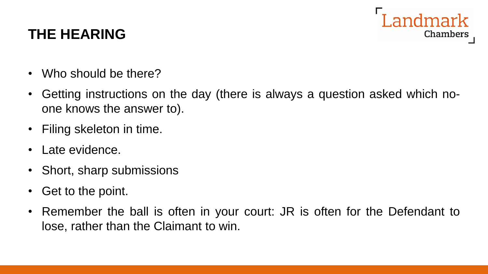

## **THE HEARING**

- Who should be there?
- Getting instructions on the day (there is always a question asked which noone knows the answer to).
- Filing skeleton in time.
- Late evidence.
- Short, sharp submissions
- Get to the point.
- Remember the ball is often in your court: JR is often for the Defendant to lose, rather than the Claimant to win.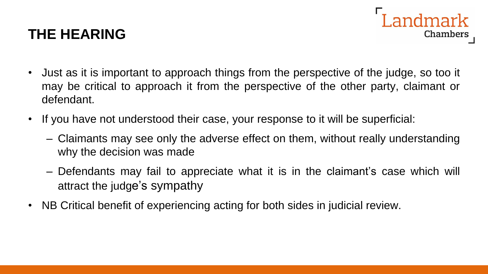## **THE HEARING**

• Just as it is important to approach things from the perspective of the judge, so too it may be critical to approach it from the perspective of the other party, claimant or defendant.

andmark

- If you have not understood their case, your response to it will be superficial:
	- Claimants may see only the adverse effect on them, without really understanding why the decision was made
	- Defendants may fail to appreciate what it is in the claimant's case which will attract the judge's sympathy
- NB Critical benefit of experiencing acting for both sides in judicial review.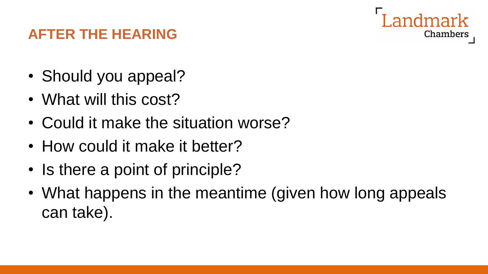

## **AFTER THE HEARING**

- Should you appeal?
- What will this cost?
- Could it make the situation worse?
- How could it make it better?
- Is there a point of principle?
- What happens in the meantime (given how long appeals can take).